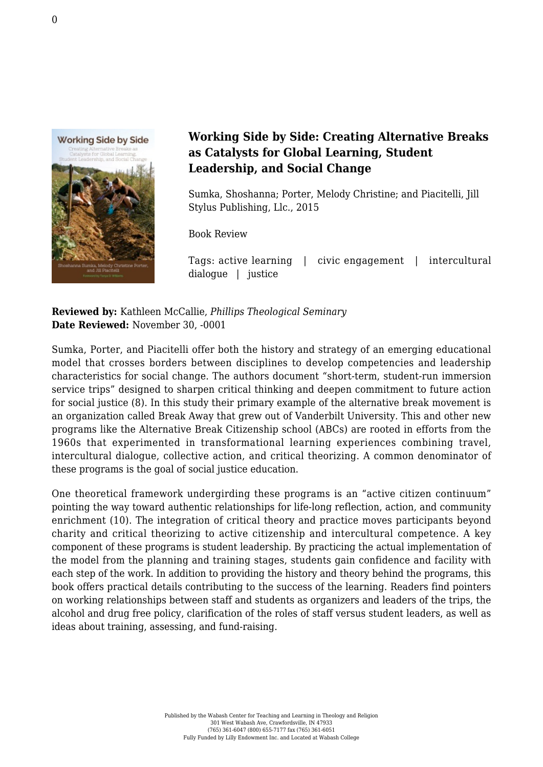

## **Working Side by Side: Creating Alternative Breaks as Catalysts for Global Learning, Student Leadership, and Social Change**

Sumka, Shoshanna; Porter, Melody Christine; and Piacitelli, Jill [Stylus Publishing, Llc., 2015](https://sty.presswarehouse.com/Books/BookDetail.aspx?productID=375705)

Book Review

Tags: active learning | civic engagement | intercultural dialogue | justice

**Reviewed by:** Kathleen McCallie, *Phillips Theological Seminary* **Date Reviewed:** November 30, -0001

Sumka, Porter, and Piacitelli offer both the history and strategy of an emerging educational model that crosses borders between disciplines to develop competencies and leadership characteristics for social change. The authors document "short-term, student-run immersion service trips" designed to sharpen critical thinking and deepen commitment to future action for social justice (8). In this study their primary example of the alternative break movement is an organization called Break Away that grew out of Vanderbilt University. This and other new programs like the Alternative Break Citizenship school (ABCs) are rooted in efforts from the 1960s that experimented in transformational learning experiences combining travel, intercultural dialogue, collective action, and critical theorizing. A common denominator of these programs is the goal of social justice education.

One theoretical framework undergirding these programs is an "active citizen continuum" pointing the way toward authentic relationships for life-long reflection, action, and community enrichment (10). The integration of critical theory and practice moves participants beyond charity and critical theorizing to active citizenship and intercultural competence. A key component of these programs is student leadership. By practicing the actual implementation of the model from the planning and training stages, students gain confidence and facility with each step of the work. In addition to providing the history and theory behind the programs, this book offers practical details contributing to the success of the learning. Readers find pointers on working relationships between staff and students as organizers and leaders of the trips, the alcohol and drug free policy, clarification of the roles of staff versus student leaders, as well as ideas about training, assessing, and fund-raising.